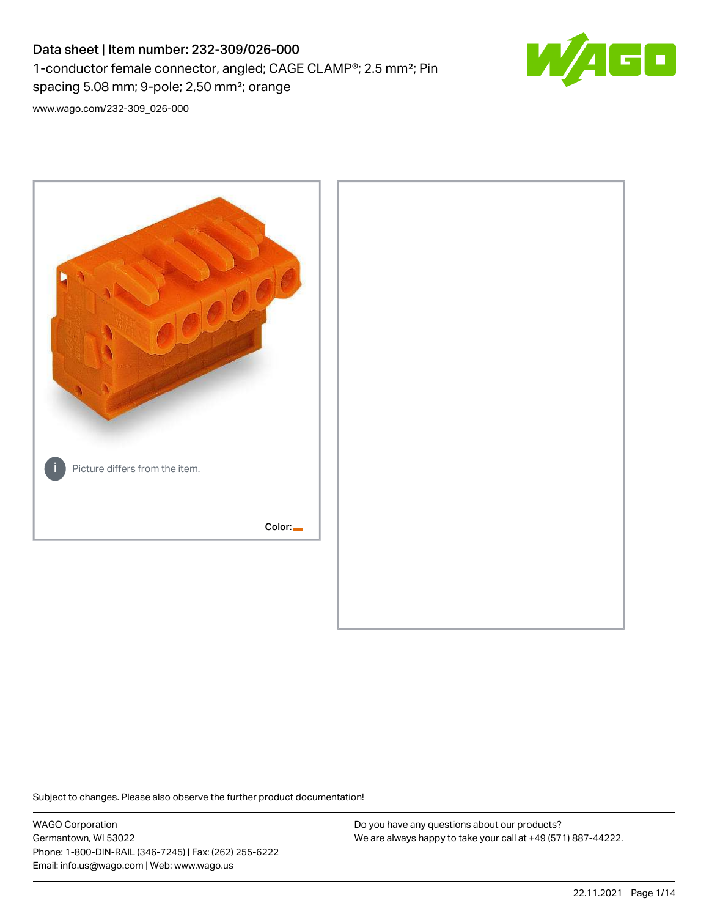# Data sheet | Item number: 232-309/026-000 1-conductor female connector, angled; CAGE CLAMP®; 2.5 mm²; Pin spacing 5.08 mm; 9-pole; 2,50 mm²; orange



[www.wago.com/232-309\\_026-000](http://www.wago.com/232-309_026-000)



Subject to changes. Please also observe the further product documentation!

WAGO Corporation Germantown, WI 53022 Phone: 1-800-DIN-RAIL (346-7245) | Fax: (262) 255-6222 Email: info.us@wago.com | Web: www.wago.us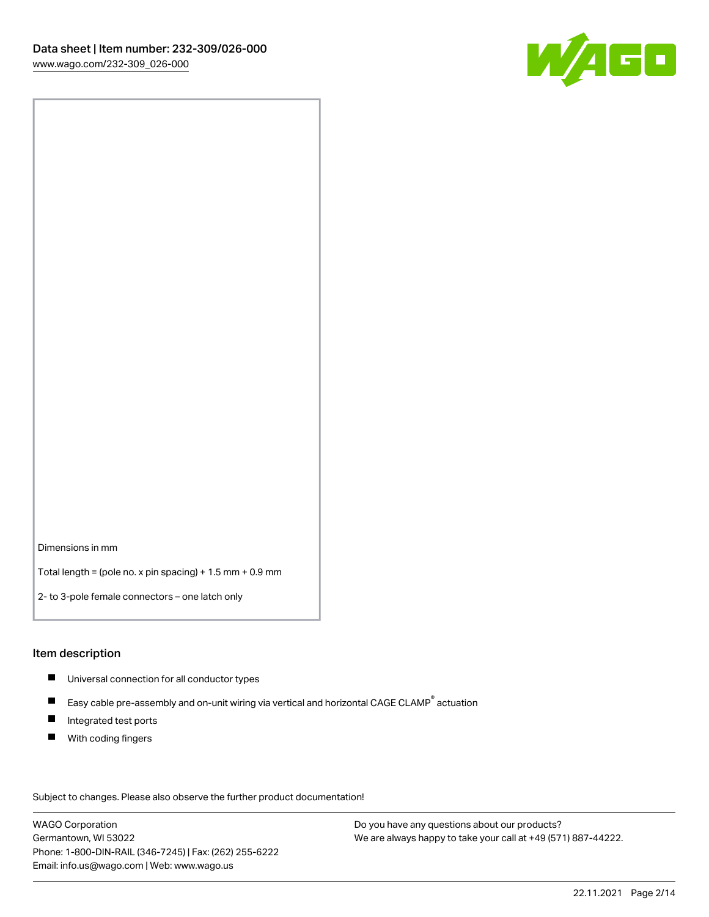

Dimensions in mm

Total length = (pole no. x pin spacing) + 1.5 mm + 0.9 mm

2- to 3-pole female connectors – one latch only

#### Item description

- **Universal connection for all conductor types**
- Easy cable pre-assembly and on-unit wiring via vertical and horizontal CAGE CLAMP<sup>®</sup> actuation  $\blacksquare$
- $\blacksquare$ Integrated test ports
- $\blacksquare$ With coding fingers

Subject to changes. Please also observe the further product documentation! Data

WAGO Corporation Germantown, WI 53022 Phone: 1-800-DIN-RAIL (346-7245) | Fax: (262) 255-6222 Email: info.us@wago.com | Web: www.wago.us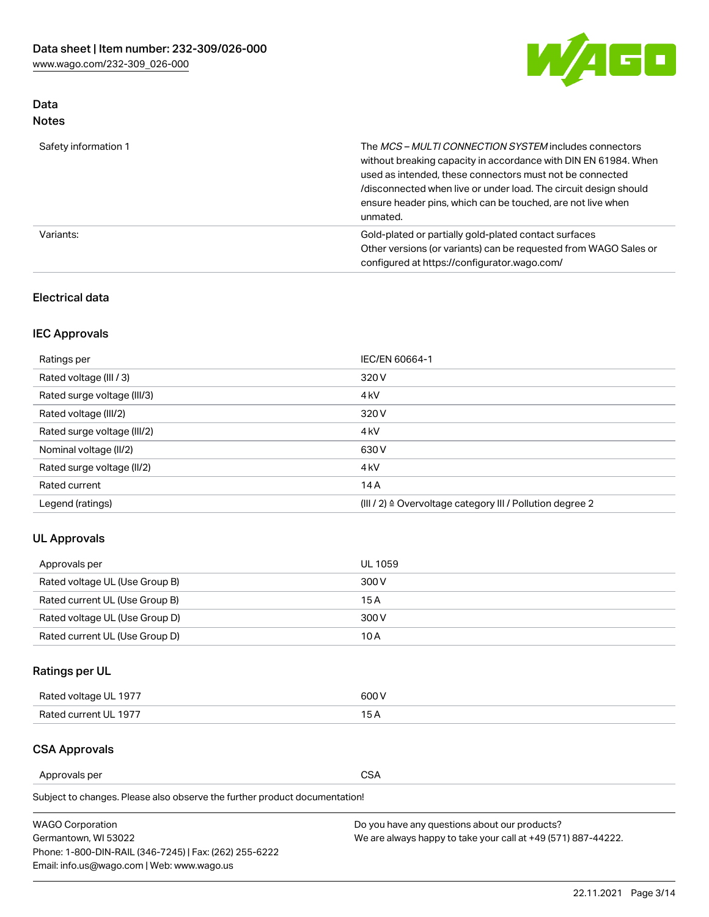

## Data Notes

| Safety information 1 | The MCS-MULTI CONNECTION SYSTEM includes connectors<br>without breaking capacity in accordance with DIN EN 61984. When<br>used as intended, these connectors must not be connected<br>/disconnected when live or under load. The circuit design should<br>ensure header pins, which can be touched, are not live when<br>unmated. |
|----------------------|-----------------------------------------------------------------------------------------------------------------------------------------------------------------------------------------------------------------------------------------------------------------------------------------------------------------------------------|
| Variants:            | Gold-plated or partially gold-plated contact surfaces<br>Other versions (or variants) can be requested from WAGO Sales or<br>configured at https://configurator.wago.com/                                                                                                                                                         |

#### Electrical data

## IEC Approvals

| Ratings per                 | IEC/EN 60664-1                                                        |
|-----------------------------|-----------------------------------------------------------------------|
| Rated voltage (III / 3)     | 320 V                                                                 |
| Rated surge voltage (III/3) | 4 <sub>k</sub> V                                                      |
| Rated voltage (III/2)       | 320 V                                                                 |
| Rated surge voltage (III/2) | 4 <sub>k</sub> V                                                      |
| Nominal voltage (II/2)      | 630 V                                                                 |
| Rated surge voltage (II/2)  | 4 <sub>k</sub> V                                                      |
| Rated current               | 14A                                                                   |
| Legend (ratings)            | $(III / 2)$ $\triangle$ Overvoltage category III / Pollution degree 2 |

#### UL Approvals

| Approvals per                  | UL 1059 |
|--------------------------------|---------|
| Rated voltage UL (Use Group B) | 300 V   |
| Rated current UL (Use Group B) | 15 A    |
| Rated voltage UL (Use Group D) | 300 V   |
| Rated current UL (Use Group D) | 10 A    |

## Ratings per UL

| Rated voltage UL 1977 | 300 V |
|-----------------------|-------|
| Rated current UL 1977 |       |

#### CSA Approvals

Approvals per CSA

Subject to changes. Please also observe the further product documentation!

| <b>WAGO Corporation</b>                                | Do you have any questions about our products?                 |
|--------------------------------------------------------|---------------------------------------------------------------|
| Germantown, WI 53022                                   | We are always happy to take your call at +49 (571) 887-44222. |
| Phone: 1-800-DIN-RAIL (346-7245)   Fax: (262) 255-6222 |                                                               |
| Email: info.us@wago.com   Web: www.wago.us             |                                                               |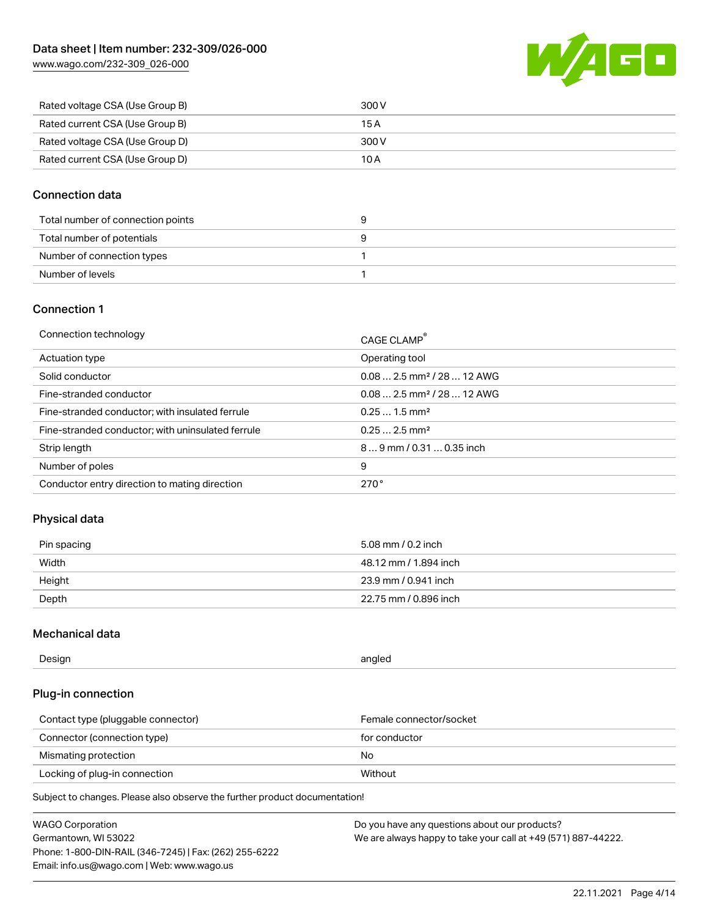[www.wago.com/232-309\\_026-000](http://www.wago.com/232-309_026-000)



| Rated voltage CSA (Use Group B) | 300 V |
|---------------------------------|-------|
| Rated current CSA (Use Group B) | 15 A  |
| Rated voltage CSA (Use Group D) | 300 V |
| Rated current CSA (Use Group D) | 10 A  |

#### Connection data

| Total number of connection points |  |
|-----------------------------------|--|
| Total number of potentials        |  |
| Number of connection types        |  |
| Number of levels                  |  |

#### Connection 1

| Connection technology                             | CAGE CLAMP®                            |
|---------------------------------------------------|----------------------------------------|
| Actuation type                                    | Operating tool                         |
| Solid conductor                                   | $0.082.5$ mm <sup>2</sup> / 28  12 AWG |
| Fine-stranded conductor                           | $0.082.5$ mm <sup>2</sup> / 28  12 AWG |
| Fine-stranded conductor; with insulated ferrule   | $0.251.5$ mm <sup>2</sup>              |
| Fine-stranded conductor; with uninsulated ferrule | $0.252.5$ mm <sup>2</sup>              |
| Strip length                                      | $89$ mm / 0.31  0.35 inch              |
| Number of poles                                   | 9                                      |
| Conductor entry direction to mating direction     | 270°                                   |

#### Physical data

| Pin spacing | 5.08 mm / 0.2 inch    |
|-------------|-----------------------|
| Width       | 48.12 mm / 1.894 inch |
| Height      | 23.9 mm / 0.941 inch  |
| Depth       | 22.75 mm / 0.896 inch |

#### Mechanical data

| Design<br>angled |  |
|------------------|--|
|------------------|--|

#### Plug-in connection

| Contact type (pluggable connector) | Female connector/socket |
|------------------------------------|-------------------------|
| Connector (connection type)        | for conductor           |
| Mismating protection               | No.                     |
| Locking of plug-in connection      | Without                 |

Subject to changes. Please also observe the further product documentation!

| <b>WAGO Corporation</b>                                | Do you have any questions about our products?                 |
|--------------------------------------------------------|---------------------------------------------------------------|
| Germantown, WI 53022                                   | We are always happy to take your call at +49 (571) 887-44222. |
| Phone: 1-800-DIN-RAIL (346-7245)   Fax: (262) 255-6222 |                                                               |
| Email: info.us@wago.com   Web: www.wago.us             |                                                               |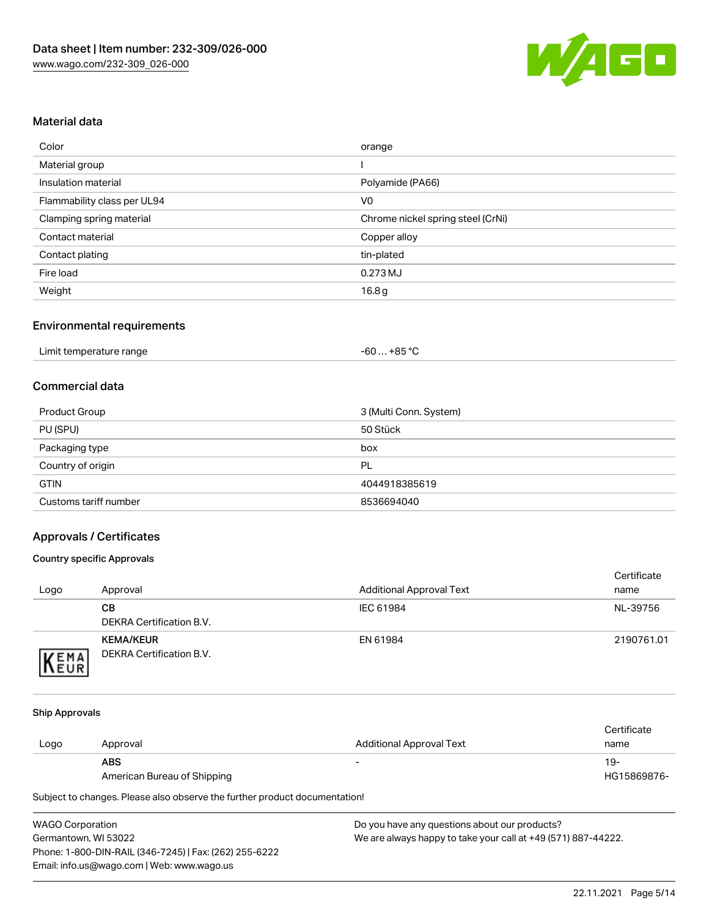

#### Material data

| Color                       | orange                            |
|-----------------------------|-----------------------------------|
| Material group              |                                   |
| Insulation material         | Polyamide (PA66)                  |
| Flammability class per UL94 | V <sub>0</sub>                    |
| Clamping spring material    | Chrome nickel spring steel (CrNi) |
| Contact material            | Copper alloy                      |
| Contact plating             | tin-plated                        |
| Fire load                   | 0.273 MJ                          |
| Weight                      | 16.8 <sub>g</sub>                 |

#### Environmental requirements

| Limit temperature range<br>. | . +85 °Ր<br>-60 … |  |
|------------------------------|-------------------|--|
|------------------------------|-------------------|--|

#### Commercial data

| Product Group         | 3 (Multi Conn. System) |
|-----------------------|------------------------|
| PU (SPU)              | 50 Stück               |
| Packaging type        | box                    |
| Country of origin     | PL                     |
| <b>GTIN</b>           | 4044918385619          |
| Customs tariff number | 8536694040             |

#### Approvals / Certificates

#### Country specific Approvals

| Logo                | Approval                                     | <b>Additional Approval Text</b> | Certificate<br>name |
|---------------------|----------------------------------------------|---------------------------------|---------------------|
|                     | CВ<br>DEKRA Certification B.V.               | IEC 61984                       | NL-39756            |
| EMA<br><b>INEUR</b> | <b>KEMA/KEUR</b><br>DEKRA Certification B.V. | EN 61984                        | 2190761.01          |

#### Ship Approvals

|      |                             |                                 | Certificate |
|------|-----------------------------|---------------------------------|-------------|
| Logo | Approval                    | <b>Additional Approval Text</b> | name        |
|      | <b>ABS</b>                  | $\overline{\phantom{0}}$        | 19-         |
|      | American Bureau of Shipping |                                 | HG15869876- |

Subject to changes. Please also observe the further product documentation!

| <b>WAGO Corporation</b>                                |   |
|--------------------------------------------------------|---|
| Germantown, WI 53022                                   | N |
| Phone: 1-800-DIN-RAIL (346-7245)   Fax: (262) 255-6222 |   |
| Email: info.us@wago.com   Web: www.wago.us             |   |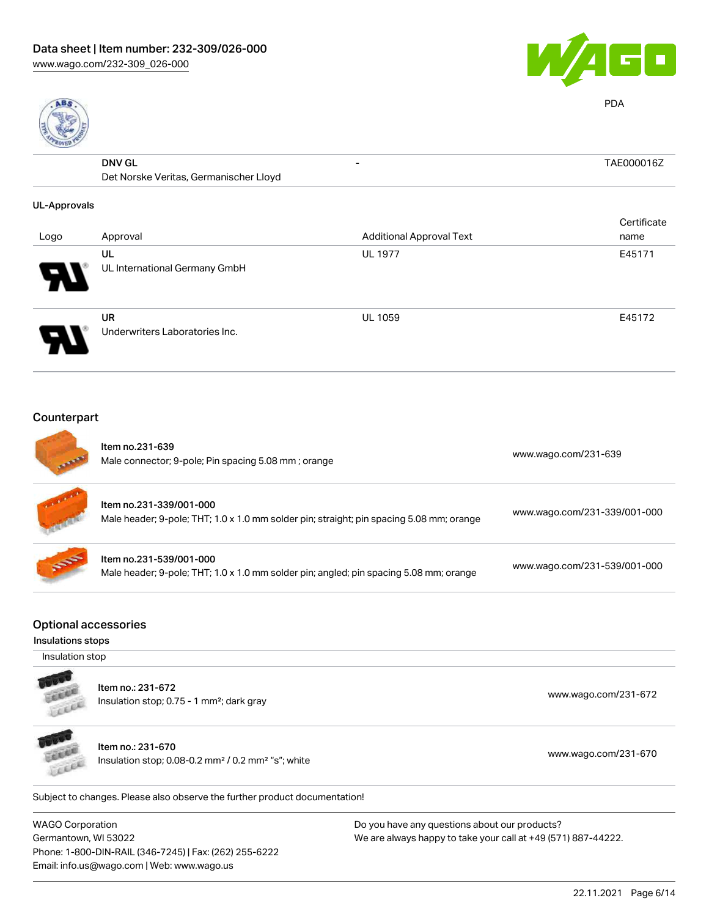Phone: 1-800-DIN-RAIL (346-7245) | Fax: (262) 255-6222

Email: info.us@wago.com | Web: www.wago.us





PDA

|                     | <b>DNV GL</b>                               | -                               | TAE000016Z  |
|---------------------|---------------------------------------------|---------------------------------|-------------|
|                     | Det Norske Veritas, Germanischer Lloyd      |                                 |             |
| <b>UL-Approvals</b> |                                             |                                 |             |
|                     |                                             |                                 | Certificate |
| Logo                | Approval                                    | <b>Additional Approval Text</b> | name        |
|                     | UL                                          | <b>UL 1977</b>                  | E45171      |
|                     | UL International Germany GmbH               |                                 |             |
|                     | <b>UR</b><br>Underwriters Laboratories Inc. | <b>UL 1059</b>                  | E45172      |
|                     |                                             |                                 |             |

## Counterpart

| <b>WAGO Corporation</b><br>Germantown, WI 53022  |                                                                                                                     | Do you have any questions about our products?<br>We are always happy to take your call at +49 (571) 887-44222. |
|--------------------------------------------------|---------------------------------------------------------------------------------------------------------------------|----------------------------------------------------------------------------------------------------------------|
|                                                  | Subject to changes. Please also observe the further product documentation!                                          |                                                                                                                |
|                                                  | Item no.: 231-670<br>Insulation stop; 0.08-0.2 mm <sup>2</sup> / 0.2 mm <sup>2</sup> "s"; white                     | www.wago.com/231-670                                                                                           |
|                                                  | Item no.: 231-672<br>Insulation stop; 0.75 - 1 mm <sup>2</sup> ; dark gray                                          | www.wago.com/231-672                                                                                           |
| Insulation stop                                  |                                                                                                                     |                                                                                                                |
| <b>Optional accessories</b><br>Insulations stops |                                                                                                                     |                                                                                                                |
|                                                  | Item no.231-539/001-000<br>Male header; 9-pole; THT; 1.0 x 1.0 mm solder pin; angled; pin spacing 5.08 mm; orange   | www.wago.com/231-539/001-000                                                                                   |
|                                                  | Item no.231-339/001-000<br>Male header; 9-pole; THT; 1.0 x 1.0 mm solder pin; straight; pin spacing 5.08 mm; orange | www.wago.com/231-339/001-000                                                                                   |
|                                                  | Item no.231-639<br>Male connector; 9-pole; Pin spacing 5.08 mm; orange                                              | www.wago.com/231-639                                                                                           |

22.11.2021 Page 6/14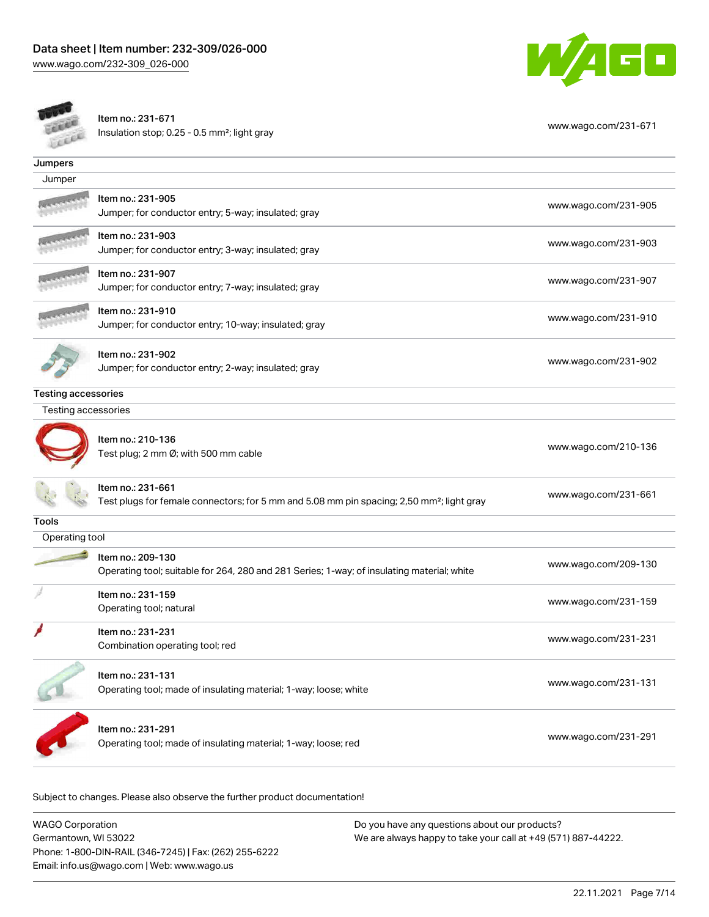

Item no.: 231-671 Insulation stop; 0.25 - 0.5 mm²; light gray [www.wago.com/231-671](http://www.wago.com/231-671) www.wago.com/231-671

| Jumpers                    |                                                                                                                            |                      |
|----------------------------|----------------------------------------------------------------------------------------------------------------------------|----------------------|
| Jumper                     |                                                                                                                            |                      |
|                            | Item no.: 231-905<br>Jumper; for conductor entry; 5-way; insulated; gray                                                   | www.wago.com/231-905 |
|                            | Item no.: 231-903<br>Jumper; for conductor entry; 3-way; insulated; gray                                                   | www.wago.com/231-903 |
|                            | Item no.: 231-907<br>Jumper; for conductor entry; 7-way; insulated; gray                                                   | www.wago.com/231-907 |
|                            | Item no.: 231-910<br>Jumper; for conductor entry; 10-way; insulated; gray                                                  | www.wago.com/231-910 |
|                            | Item no.: 231-902<br>Jumper; for conductor entry; 2-way; insulated; gray                                                   | www.wago.com/231-902 |
| <b>Testing accessories</b> |                                                                                                                            |                      |
| Testing accessories        |                                                                                                                            |                      |
|                            | Item no.: 210-136<br>Test plug; 2 mm Ø; with 500 mm cable                                                                  | www.wago.com/210-136 |
|                            | ltem no.: 231-661<br>Test plugs for female connectors; for 5 mm and 5.08 mm pin spacing; 2,50 mm <sup>2</sup> ; light gray | www.wago.com/231-661 |
| <b>Tools</b>               |                                                                                                                            |                      |
| Operating tool             |                                                                                                                            |                      |
|                            | Item no.: 209-130<br>Operating tool; suitable for 264, 280 and 281 Series; 1-way; of insulating material; white            | www.wago.com/209-130 |
|                            | Item no.: 231-159<br>Operating tool; natural                                                                               | www.wago.com/231-159 |
|                            | Item no.: 231-231<br>Combination operating tool; red                                                                       | www.wago.com/231-231 |
|                            | Item no.: 231-131<br>Operating tool; made of insulating material; 1-way; loose; white                                      | www.wago.com/231-131 |
|                            | Item no.: 231-291<br>Operating tool; made of insulating material; 1-way; loose; red                                        | www.wago.com/231-291 |

Subject to changes. Please also observe the further product documentation!

WAGO Corporation Germantown, WI 53022 Phone: 1-800-DIN-RAIL (346-7245) | Fax: (262) 255-6222 Email: info.us@wago.com | Web: www.wago.us Do you have any questions about our products? We are always happy to take your call at +49 (571) 887-44222.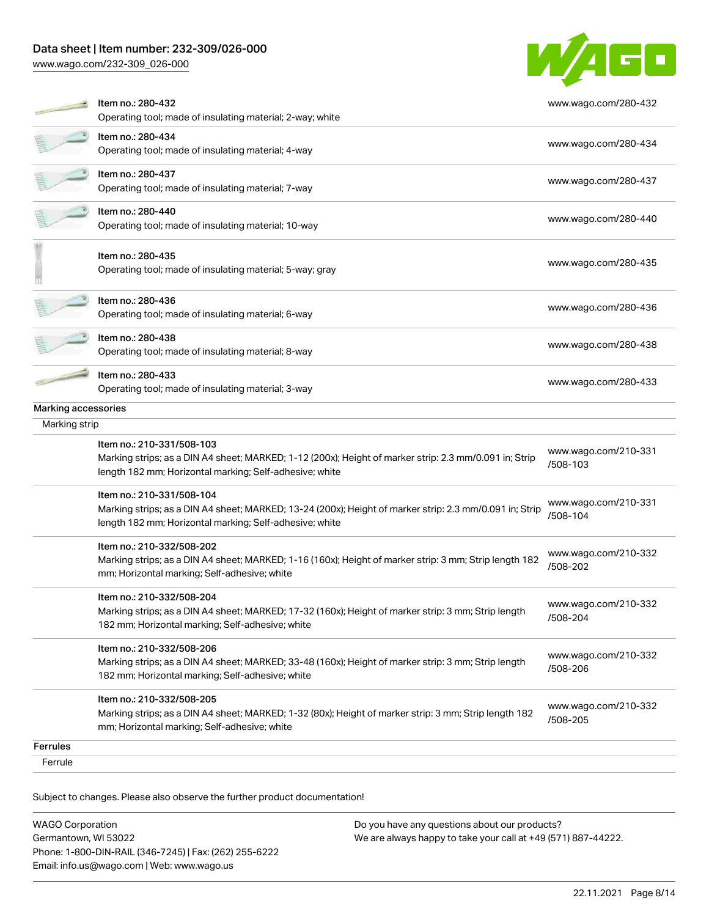#### Data sheet | Item number: 232-309/026-000

[www.wago.com/232-309\\_026-000](http://www.wago.com/232-309_026-000)



| Ferrule                              |                                                                                                                                                                                                 |                                  |
|--------------------------------------|-------------------------------------------------------------------------------------------------------------------------------------------------------------------------------------------------|----------------------------------|
| Ferrules                             |                                                                                                                                                                                                 |                                  |
|                                      | Item no.: 210-332/508-205<br>Marking strips; as a DIN A4 sheet; MARKED; 1-32 (80x); Height of marker strip: 3 mm; Strip length 182<br>mm; Horizontal marking; Self-adhesive; white              | www.wago.com/210-332<br>/508-205 |
|                                      | Item no.: 210-332/508-206<br>Marking strips; as a DIN A4 sheet; MARKED; 33-48 (160x); Height of marker strip: 3 mm; Strip length<br>182 mm; Horizontal marking; Self-adhesive; white            | www.wago.com/210-332<br>/508-206 |
|                                      | Item no.: 210-332/508-204<br>Marking strips; as a DIN A4 sheet; MARKED; 17-32 (160x); Height of marker strip: 3 mm; Strip length<br>182 mm; Horizontal marking; Self-adhesive; white            | www.wago.com/210-332<br>/508-204 |
|                                      | Item no.: 210-332/508-202<br>Marking strips; as a DIN A4 sheet; MARKED; 1-16 (160x); Height of marker strip: 3 mm; Strip length 182<br>mm; Horizontal marking; Self-adhesive; white             | www.wago.com/210-332<br>/508-202 |
|                                      | Item no.: 210-331/508-104<br>Marking strips; as a DIN A4 sheet; MARKED; 13-24 (200x); Height of marker strip: 2.3 mm/0.091 in; Strip<br>length 182 mm; Horizontal marking; Self-adhesive; white | www.wago.com/210-331<br>/508-104 |
|                                      | Item no.: 210-331/508-103<br>Marking strips; as a DIN A4 sheet; MARKED; 1-12 (200x); Height of marker strip: 2.3 mm/0.091 in; Strip<br>length 182 mm; Horizontal marking; Self-adhesive; white  | www.wago.com/210-331<br>/508-103 |
| Marking accessories<br>Marking strip |                                                                                                                                                                                                 |                                  |
|                                      | Item no.: 280-433<br>Operating tool; made of insulating material; 3-way                                                                                                                         | www.wago.com/280-433             |
|                                      | Item no.: 280-438<br>Operating tool; made of insulating material; 8-way                                                                                                                         | www.wago.com/280-438             |
|                                      | Item no.: 280-436<br>Operating tool; made of insulating material; 6-way                                                                                                                         | www.wago.com/280-436             |
|                                      | Item no.: 280-435<br>Operating tool; made of insulating material; 5-way; gray                                                                                                                   | www.wago.com/280-435             |
|                                      | Item no.: 280-440<br>Operating tool; made of insulating material; 10-way                                                                                                                        | www.wago.com/280-440             |
|                                      | Item no.: 280-437<br>Operating tool; made of insulating material; 7-way                                                                                                                         | www.wago.com/280-437             |
|                                      | Item no.: 280-434<br>Operating tool; made of insulating material; 4-way                                                                                                                         | www.wago.com/280-434             |
|                                      | Item no.: 280-432<br>Operating tool; made of insulating material; 2-way; white                                                                                                                  | www.wago.com/280-432             |

Subject to changes. Please also observe the further product documentation!

| <b>WAGO Corporation</b>                                | Do you h |
|--------------------------------------------------------|----------|
| Germantown, WI 53022                                   | We are a |
| Phone: 1-800-DIN-RAIL (346-7245)   Fax: (262) 255-6222 |          |
| Email: info.us@wago.com   Web: www.wago.us             |          |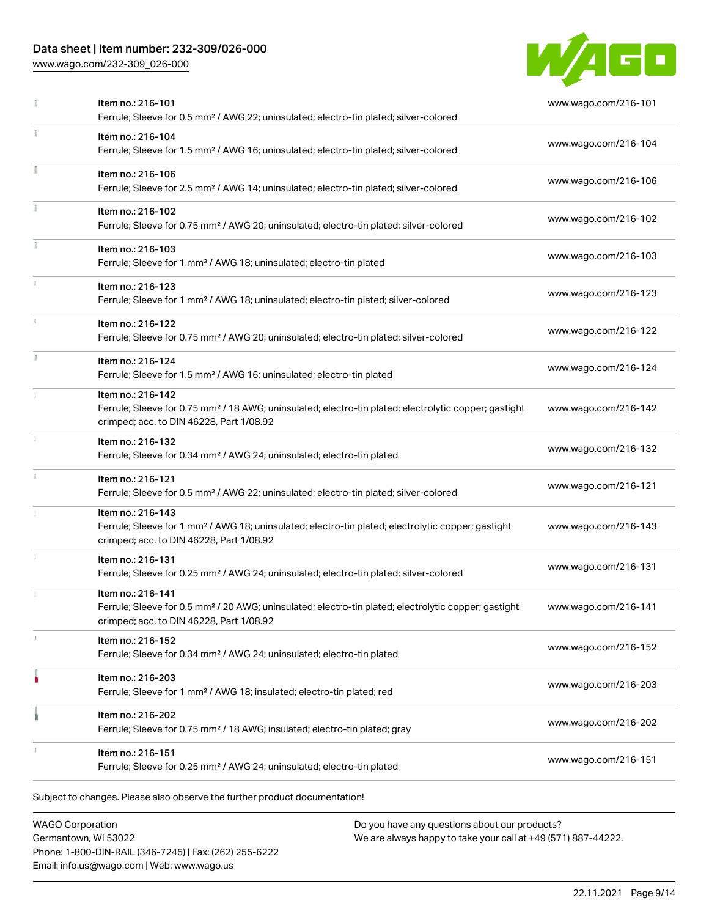## Data sheet | Item number: 232-309/026-000

[www.wago.com/232-309\\_026-000](http://www.wago.com/232-309_026-000)



|    | Item no.: 216-101<br>Ferrule; Sleeve for 0.5 mm <sup>2</sup> / AWG 22; uninsulated; electro-tin plated; silver-colored                                                             | www.wago.com/216-101 |
|----|------------------------------------------------------------------------------------------------------------------------------------------------------------------------------------|----------------------|
|    | Item no.: 216-104<br>Ferrule; Sleeve for 1.5 mm <sup>2</sup> / AWG 16; uninsulated; electro-tin plated; silver-colored                                                             | www.wago.com/216-104 |
|    | Item no.: 216-106<br>Ferrule; Sleeve for 2.5 mm <sup>2</sup> / AWG 14; uninsulated; electro-tin plated; silver-colored                                                             | www.wago.com/216-106 |
|    | Item no.: 216-102<br>Ferrule; Sleeve for 0.75 mm <sup>2</sup> / AWG 20; uninsulated; electro-tin plated; silver-colored                                                            | www.wago.com/216-102 |
|    | Item no.: 216-103<br>Ferrule; Sleeve for 1 mm <sup>2</sup> / AWG 18; uninsulated; electro-tin plated                                                                               | www.wago.com/216-103 |
|    | Item no.: 216-123<br>Ferrule; Sleeve for 1 mm <sup>2</sup> / AWG 18; uninsulated; electro-tin plated; silver-colored                                                               | www.wago.com/216-123 |
|    | Item no.: 216-122<br>Ferrule; Sleeve for 0.75 mm <sup>2</sup> / AWG 20; uninsulated; electro-tin plated; silver-colored                                                            | www.wago.com/216-122 |
| I. | Item no.: 216-124<br>Ferrule; Sleeve for 1.5 mm <sup>2</sup> / AWG 16; uninsulated; electro-tin plated                                                                             | www.wago.com/216-124 |
|    | Item no.: 216-142<br>Ferrule; Sleeve for 0.75 mm <sup>2</sup> / 18 AWG; uninsulated; electro-tin plated; electrolytic copper; gastight<br>crimped; acc. to DIN 46228, Part 1/08.92 | www.wago.com/216-142 |
|    | Item no.: 216-132<br>Ferrule; Sleeve for 0.34 mm <sup>2</sup> / AWG 24; uninsulated; electro-tin plated                                                                            | www.wago.com/216-132 |
|    | Item no.: 216-121<br>Ferrule; Sleeve for 0.5 mm <sup>2</sup> / AWG 22; uninsulated; electro-tin plated; silver-colored                                                             | www.wago.com/216-121 |
|    | Item no.: 216-143<br>Ferrule; Sleeve for 1 mm <sup>2</sup> / AWG 18; uninsulated; electro-tin plated; electrolytic copper; gastight<br>crimped; acc. to DIN 46228, Part 1/08.92    | www.wago.com/216-143 |
|    | Item no.: 216-131<br>Ferrule; Sleeve for 0.25 mm <sup>2</sup> / AWG 24; uninsulated; electro-tin plated; silver-colored                                                            | www.wago.com/216-131 |
|    | Item no.: 216-141<br>Ferrule; Sleeve for 0.5 mm <sup>2</sup> / 20 AWG; uninsulated; electro-tin plated; electrolytic copper; gastight<br>crimped; acc. to DIN 46228, Part 1/08.92  | www.wago.com/216-141 |
|    | Item no.: 216-152<br>Ferrule; Sleeve for 0.34 mm <sup>2</sup> / AWG 24; uninsulated; electro-tin plated                                                                            | www.wago.com/216-152 |
| ۵  | Item no.: 216-203<br>Ferrule; Sleeve for 1 mm <sup>2</sup> / AWG 18; insulated; electro-tin plated; red                                                                            | www.wago.com/216-203 |
|    | Item no.: 216-202<br>Ferrule; Sleeve for 0.75 mm <sup>2</sup> / 18 AWG; insulated; electro-tin plated; gray                                                                        | www.wago.com/216-202 |
|    | Item no.: 216-151<br>Ferrule; Sleeve for 0.25 mm <sup>2</sup> / AWG 24; uninsulated; electro-tin plated                                                                            | www.wago.com/216-151 |

WAGO Corporation Germantown, WI 53022 Phone: 1-800-DIN-RAIL (346-7245) | Fax: (262) 255-6222 Email: info.us@wago.com | Web: www.wago.us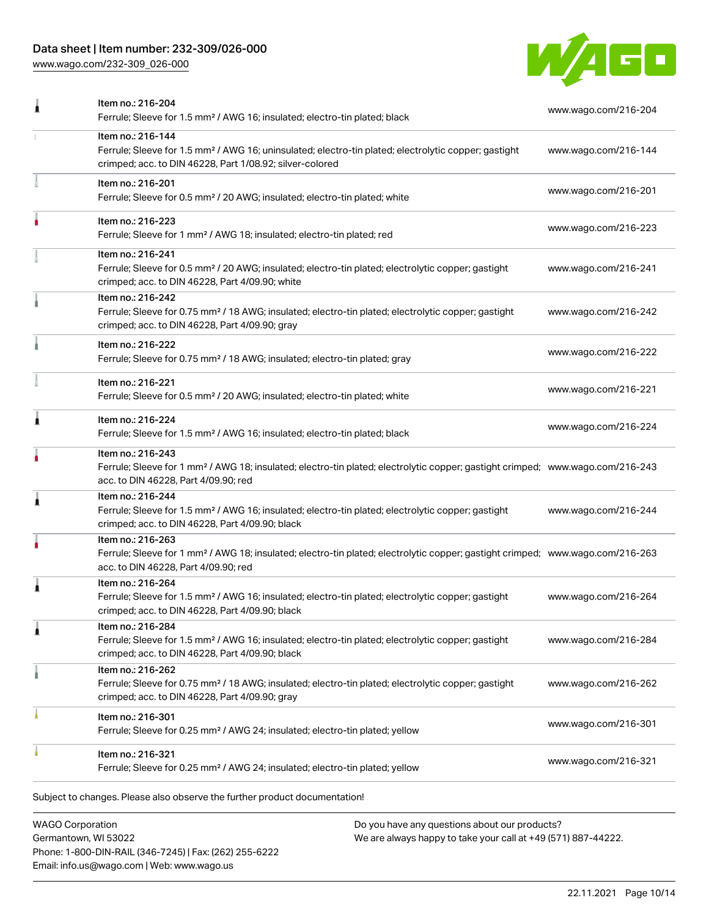## Data sheet | Item number: 232-309/026-000

[www.wago.com/232-309\\_026-000](http://www.wago.com/232-309_026-000)



|   | Item no.: 216-204<br>Ferrule; Sleeve for 1.5 mm <sup>2</sup> / AWG 16; insulated; electro-tin plated; black                                                                                             | www.wago.com/216-204 |  |
|---|---------------------------------------------------------------------------------------------------------------------------------------------------------------------------------------------------------|----------------------|--|
|   | Item no.: 216-144<br>Ferrule; Sleeve for 1.5 mm <sup>2</sup> / AWG 16; uninsulated; electro-tin plated; electrolytic copper; gastight<br>crimped; acc. to DIN 46228, Part 1/08.92; silver-colored       | www.wago.com/216-144 |  |
|   | Item no.: 216-201<br>Ferrule; Sleeve for 0.5 mm <sup>2</sup> / 20 AWG; insulated; electro-tin plated; white                                                                                             | www.wago.com/216-201 |  |
|   | Item no.: 216-223<br>Ferrule; Sleeve for 1 mm <sup>2</sup> / AWG 18; insulated; electro-tin plated; red                                                                                                 | www.wago.com/216-223 |  |
|   | Item no.: 216-241<br>Ferrule; Sleeve for 0.5 mm <sup>2</sup> / 20 AWG; insulated; electro-tin plated; electrolytic copper; gastight<br>crimped; acc. to DIN 46228, Part 4/09.90; white                  | www.wago.com/216-241 |  |
|   | Item no.: 216-242<br>Ferrule; Sleeve for 0.75 mm <sup>2</sup> / 18 AWG; insulated; electro-tin plated; electrolytic copper; gastight<br>crimped; acc. to DIN 46228, Part 4/09.90; gray                  | www.wago.com/216-242 |  |
|   | Item no.: 216-222<br>Ferrule; Sleeve for 0.75 mm <sup>2</sup> / 18 AWG; insulated; electro-tin plated; gray                                                                                             | www.wago.com/216-222 |  |
|   | Item no.: 216-221<br>Ferrule; Sleeve for 0.5 mm <sup>2</sup> / 20 AWG; insulated; electro-tin plated; white                                                                                             | www.wago.com/216-221 |  |
| 1 | Item no.: 216-224<br>Ferrule; Sleeve for 1.5 mm <sup>2</sup> / AWG 16; insulated; electro-tin plated; black                                                                                             | www.wago.com/216-224 |  |
|   | Item no.: 216-243<br>Ferrule; Sleeve for 1 mm <sup>2</sup> / AWG 18; insulated; electro-tin plated; electrolytic copper; gastight crimped; www.wago.com/216-243<br>acc. to DIN 46228, Part 4/09.90; red |                      |  |
|   | Item no.: 216-244<br>Ferrule; Sleeve for 1.5 mm <sup>2</sup> / AWG 16; insulated; electro-tin plated; electrolytic copper; gastight<br>crimped; acc. to DIN 46228, Part 4/09.90; black                  | www.wago.com/216-244 |  |
|   | Item no.: 216-263<br>Ferrule; Sleeve for 1 mm <sup>2</sup> / AWG 18; insulated; electro-tin plated; electrolytic copper; gastight crimped; www.wago.com/216-263<br>acc. to DIN 46228, Part 4/09.90; red |                      |  |
| 1 | Item no.: 216-264<br>Ferrule; Sleeve for 1.5 mm <sup>2</sup> / AWG 16; insulated; electro-tin plated; electrolytic copper; gastight<br>crimped; acc. to DIN 46228, Part 4/09.90; black                  | www.wago.com/216-264 |  |
| 1 | Item no.: 216-284<br>Ferrule; Sleeve for 1.5 mm <sup>2</sup> / AWG 16; insulated; electro-tin plated; electrolytic copper; gastight<br>crimped; acc. to DIN 46228, Part 4/09.90; black                  | www.wago.com/216-284 |  |
|   | Item no.: 216-262<br>Ferrule; Sleeve for 0.75 mm <sup>2</sup> / 18 AWG; insulated; electro-tin plated; electrolytic copper; gastight<br>crimped; acc. to DIN 46228, Part 4/09.90; gray                  | www.wago.com/216-262 |  |
|   | Item no.: 216-301<br>Ferrule; Sleeve for 0.25 mm <sup>2</sup> / AWG 24; insulated; electro-tin plated; yellow                                                                                           | www.wago.com/216-301 |  |
|   | Item no.: 216-321<br>Ferrule; Sleeve for 0.25 mm <sup>2</sup> / AWG 24; insulated; electro-tin plated; yellow                                                                                           | www.wago.com/216-321 |  |

WAGO Corporation Germantown, WI 53022 Phone: 1-800-DIN-RAIL (346-7245) | Fax: (262) 255-6222 Email: info.us@wago.com | Web: www.wago.us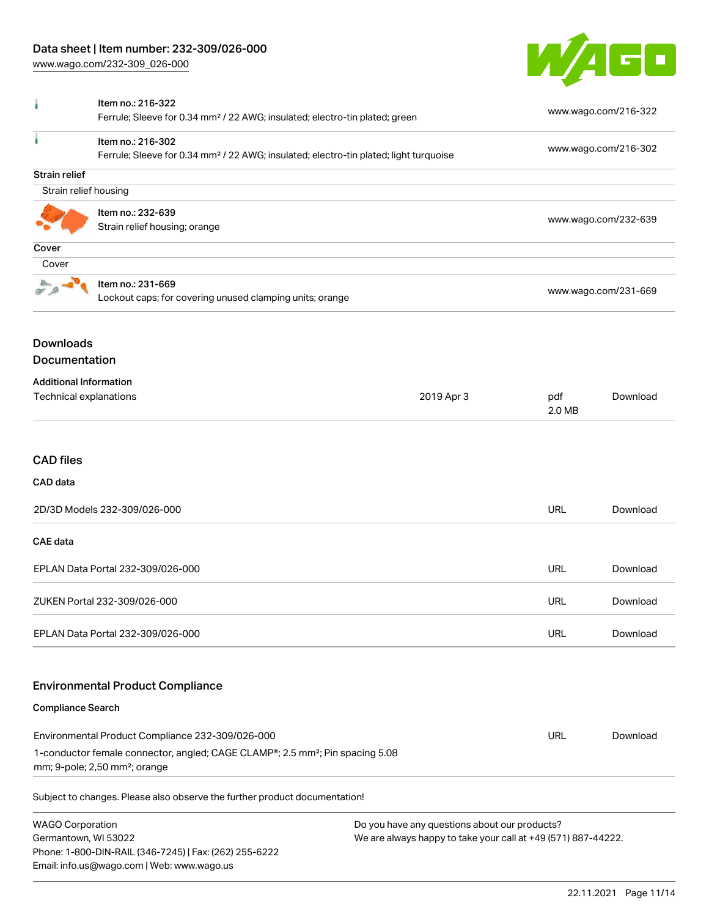[www.wago.com/232-309\\_026-000](http://www.wago.com/232-309_026-000)



| ì                                                       | Item no.: 216-322<br>Ferrule; Sleeve for 0.34 mm <sup>2</sup> / 22 AWG; insulated; electro-tin plated; green                           |                                                                                                                |                      | www.wago.com/216-322 |  |
|---------------------------------------------------------|----------------------------------------------------------------------------------------------------------------------------------------|----------------------------------------------------------------------------------------------------------------|----------------------|----------------------|--|
| ä                                                       | Item no.: 216-302<br>Ferrule; Sleeve for 0.34 mm <sup>2</sup> / 22 AWG; insulated; electro-tin plated; light turquoise                 |                                                                                                                |                      | www.wago.com/216-302 |  |
| <b>Strain relief</b>                                    |                                                                                                                                        |                                                                                                                |                      |                      |  |
| Strain relief housing                                   |                                                                                                                                        |                                                                                                                |                      |                      |  |
| Item no.: 232-639<br>Strain relief housing; orange      |                                                                                                                                        | www.wago.com/232-639                                                                                           |                      |                      |  |
| Cover                                                   |                                                                                                                                        |                                                                                                                |                      |                      |  |
| Cover                                                   |                                                                                                                                        |                                                                                                                |                      |                      |  |
|                                                         | Item no.: 231-669<br>Lockout caps; for covering unused clamping units; orange                                                          |                                                                                                                | www.wago.com/231-669 |                      |  |
| <b>Downloads</b><br><b>Documentation</b>                |                                                                                                                                        |                                                                                                                |                      |                      |  |
| <b>Additional Information</b><br>Technical explanations |                                                                                                                                        | 2019 Apr 3                                                                                                     | pdf<br>2.0 MB        | Download             |  |
| <b>CAD</b> files<br>CAD data                            |                                                                                                                                        |                                                                                                                |                      |                      |  |
|                                                         | 2D/3D Models 232-309/026-000                                                                                                           |                                                                                                                | <b>URL</b>           | Download             |  |
| <b>CAE</b> data                                         |                                                                                                                                        |                                                                                                                |                      |                      |  |
|                                                         | EPLAN Data Portal 232-309/026-000                                                                                                      |                                                                                                                | <b>URL</b>           | Download             |  |
|                                                         | ZUKEN Portal 232-309/026-000                                                                                                           |                                                                                                                | <b>URL</b>           | Download             |  |
|                                                         | EPLAN Data Portal 232-309/026-000                                                                                                      |                                                                                                                | <b>URL</b>           | Download             |  |
|                                                         | <b>Environmental Product Compliance</b>                                                                                                |                                                                                                                |                      |                      |  |
| <b>Compliance Search</b>                                |                                                                                                                                        |                                                                                                                |                      |                      |  |
| Environmental Product Compliance 232-309/026-000        |                                                                                                                                        |                                                                                                                |                      | Download             |  |
|                                                         | 1-conductor female connector, angled; CAGE CLAMP®; 2.5 mm <sup>2</sup> ; Pin spacing 5.08<br>mm; 9-pole; 2,50 mm <sup>2</sup> ; orange |                                                                                                                |                      |                      |  |
|                                                         | Subject to changes. Please also observe the further product documentation!                                                             |                                                                                                                |                      |                      |  |
| <b>WAGO Corporation</b><br>Germantown, WI 53022         | Phone: 1-800-DIN-RAIL (346-7245)   Fax: (262) 255-6222<br>Email: info.us@wago.com   Web: www.wago.us                                   | Do you have any questions about our products?<br>We are always happy to take your call at +49 (571) 887-44222. |                      |                      |  |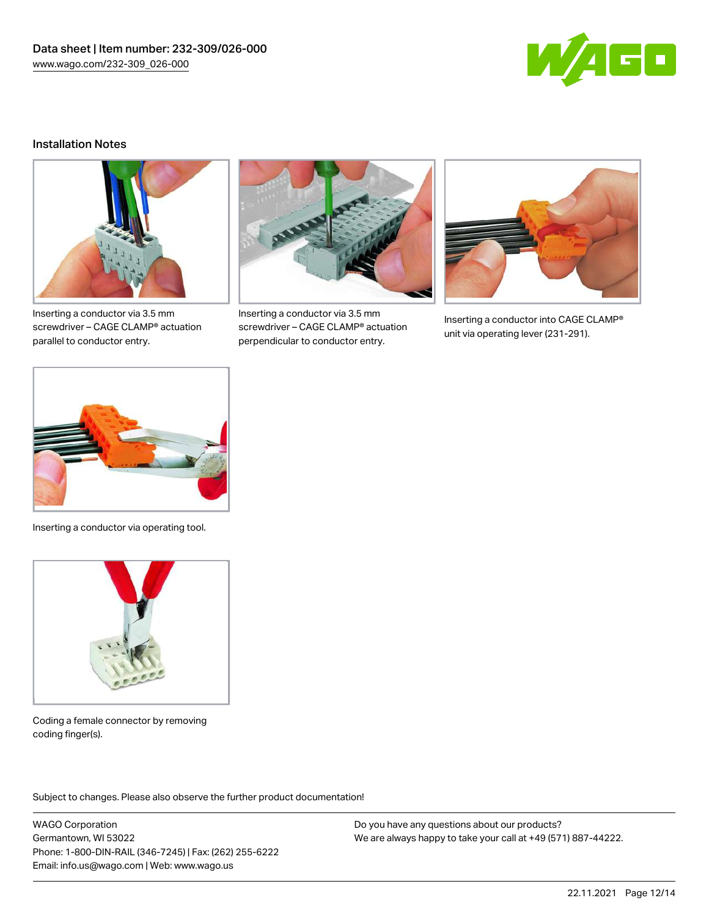

#### Installation Notes



Inserting a conductor via 3.5 mm screwdriver – CAGE CLAMP® actuation parallel to conductor entry.



Inserting a conductor via 3.5 mm screwdriver – CAGE CLAMP® actuation perpendicular to conductor entry.



Inserting a conductor into CAGE CLAMP® unit via operating lever (231-291).



Inserting a conductor via operating tool.



Coding a female connector by removing coding finger(s).

Subject to changes. Please also observe the further product documentation!

WAGO Corporation Germantown, WI 53022 Phone: 1-800-DIN-RAIL (346-7245) | Fax: (262) 255-6222 Email: info.us@wago.com | Web: www.wago.us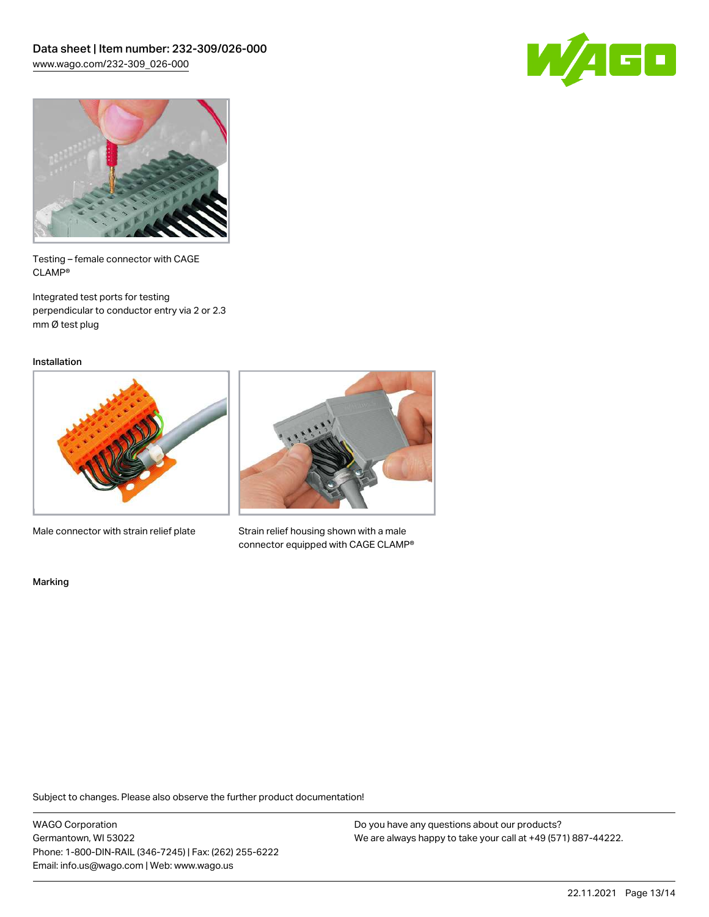



Testing – female connector with CAGE CLAMP®

Integrated test ports for testing perpendicular to conductor entry via 2 or 2.3 mm Ø test plug

Installation



Male connector with strain relief plate



Strain relief housing shown with a male connector equipped with CAGE CLAMP®

Marking

Subject to changes. Please also observe the further product documentation!

WAGO Corporation Germantown, WI 53022 Phone: 1-800-DIN-RAIL (346-7245) | Fax: (262) 255-6222 Email: info.us@wago.com | Web: www.wago.us